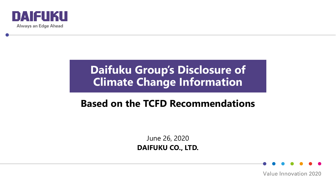

## **Daifuku Group's Disclosure of Climate Change Information**

## **Based on the TCFD Recommendations**

June 26, 2020 **DAIFUKU CO., LTD.**

**Value Innovation 2020**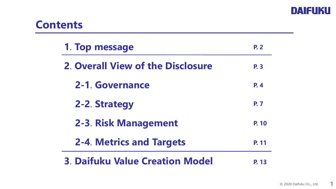

## **Contents**

| 1. Top message                           | <b>P. 2</b> |
|------------------------------------------|-------------|
| <b>2. Overall View of the Disclosure</b> | <b>P.3</b>  |
| 2-1. Governance                          | <b>P.4</b>  |
| 2-2. Strategy                            | <b>P.7</b>  |
| 2-3. Risk Management                     | P. 10       |
| <b>2-4. Metrics and Targets</b>          | P. 11       |
| <b>3. Daifuku Value Creation Model</b>   |             |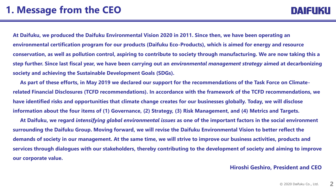**At Daifuku, we produced the Daifuku Environmental Vision 2020 in 2011. Since then, we have been operating an environmental certification program for our products (Daifuku Eco-Products), which is aimed for energy and resource conservation, as well as pollution control, aspiring to contribute to society through manufacturing. We are now taking this a step further. Since last fiscal year, we have been carrying out an** *environmental management strategy* **aimed at decarbonizing society and achieving the Sustainable Development Goals (SDGs).**

**As part of these efforts, in May 2019 we declared our support for the recommendations of the Task Force on Climaterelated Financial Disclosures (TCFD recommendations). In accordance with the framework of the TCFD recommendations, we have identified risks and opportunities that climate change creates for our businesses globally. Today, we will disclose information about the four items of (1) Governance, (2) Strategy, (3) Risk Management, and (4) Metrics and Targets.**

**At Daifuku, we regard** *intensifying global environmental issues* **as one of the important factors in the social environment surrounding the Daifuku Group. Moving forward, we will revise the Daifuku Environmental Vision to better reflect the demands of society in our management. At the same time, we will strive to improve our business activities, products and services through dialogues with our stakeholders, thereby contributing to the development of society and aiming to improve our corporate value.**

### **Hiroshi Geshiro, President and CEO**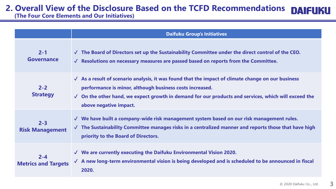## **2. Overall View of the Disclosure Based on the TCFD Recommendations**

**(The Four Core Elements and Our Initiatives)**

|                                       | <b>Daifuku Group's Initiatives</b>                                                                                                                                                                                                                                                                                             |  |  |
|---------------------------------------|--------------------------------------------------------------------------------------------------------------------------------------------------------------------------------------------------------------------------------------------------------------------------------------------------------------------------------|--|--|
| $2 - 1$<br>Governance                 | $\sqrt{ }$ The Board of Directors set up the Sustainability Committee under the direct control of the CEO.<br>$\sqrt{\phantom{a}}$ Resolutions on necessary measures are passed based on reports from the Committee.                                                                                                           |  |  |
| $2 - 2$<br><b>Strategy</b>            | $\sqrt{\phantom{a}}$ As a result of scenario analysis, it was found that the impact of climate change on our business<br>performance is minor, although business costs increased.<br>$\checkmark$ On the other hand, we expect growth in demand for our products and services, which will exceed the<br>above negative impact. |  |  |
| $2 - 3$<br><b>Risk Management</b>     | $\sqrt{ }$ We have built a company-wide risk management system based on our risk management rules.<br>$\sqrt{ }$ The Sustainability Committee manages risks in a centralized manner and reports those that have high<br>priority to the Board of Directors.                                                                    |  |  |
| $2 - 4$<br><b>Metrics and Targets</b> | $\sqrt{ }$ We are currently executing the Daifuku Environmental Vision 2020.<br>√ A new long-term environmental vision is being developed and is scheduled to be announced in fiscal<br>2020.                                                                                                                                  |  |  |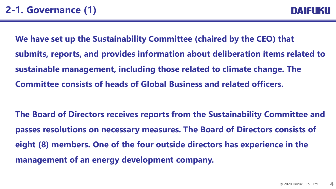**We have set up the Sustainability Committee (chaired by the CEO) that submits, reports, and provides information about deliberation items related to sustainable management, including those related to climate change. The Committee consists of heads of Global Business and related officers.**

**The Board of Directors receives reports from the Sustainability Committee and passes resolutions on necessary measures. The Board of Directors consists of eight (8) members. One of the four outside directors has experience in the management of an energy development company.**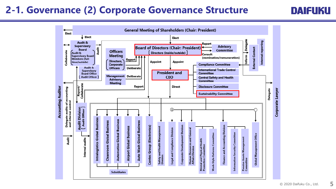## **2-1. Governance (2) Corporate Governance Structure**



**DAIFUKU**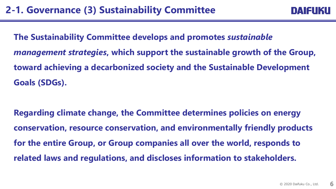**The Sustainability Committee develops and promotes** *sustainable management strategies***, which support the sustainable growth of the Group, toward achieving a decarbonized society and the Sustainable Development Goals (SDGs).**

**Regarding climate change, the Committee determines policies on energy conservation, resource conservation, and environmentally friendly products for the entire Group, or Group companies all over the world, responds to related laws and regulations, and discloses information to stakeholders.**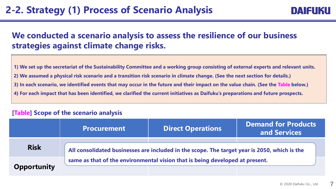### **We conducted a scenario analysis to assess the resilience of our business strategies against climate change risks.**

**1) We set up the secretariat of the Sustainability Committee and a working group consisting of external experts and relevant units. 2) We assumed a physical risk scenario and a transition risk scenario in climate change. (See the next section for details.) 3) In each scenario, we identified events that may occur in the future and their impact on the value chain. (See the Table below.) 4) For each impact that has been identified, we clarified the current initiatives as Daifuku's preparations and future prospects.**

### **[Table] Scope of the scenario analysis**

|             | <b>Procurement</b>                                                                                                                                                           | <b>Direct Operations</b> | <b>Demand for Products</b><br>and Services |  |
|-------------|------------------------------------------------------------------------------------------------------------------------------------------------------------------------------|--------------------------|--------------------------------------------|--|
| <b>Risk</b> | All consolidated businesses are included in the scope. The target year is 2050, which is the<br>same as that of the environmental vision that is being developed at present. |                          |                                            |  |
| Opportunity |                                                                                                                                                                              |                          |                                            |  |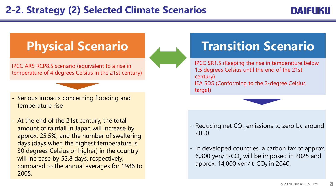## **2-2. Strategy (2) Selected Climate Scenarios**

### MATELIKU

IPCC AR5 RCP8.5 scenario (equivalent to a rise in temperature of 4 degrees Celsius in the 21st century)

- Serious impacts concerning flooding and temperature rise
- At the end of the 21st century, the total amount of rainfall in Japan will increase by approx. 25.5%, and the number of sweltering days (days when the highest temperature is 30 degrees Celsius or higher) in the country will increase by 52.8 days, respectively, compared to the annual averages for 1986 to 2005.

# **Physical Scenario 1986 Transition Scenario**

IPCC SR1.5 (Keeping the rise in temperature below 1.5 degrees Celsius until the end of the 21st century) IEA SDS (Conforming to the 2-degree Celsius target)



- Reducing net  $CO<sub>2</sub>$  emissions to zero by around 2050
- In developed countries, a carbon tax of approx. 6,300 yen/ t-CO<sub>2</sub> will be imposed in 2025 and approx. 14,000 yen/ t-CO<sub>2</sub> in 2040.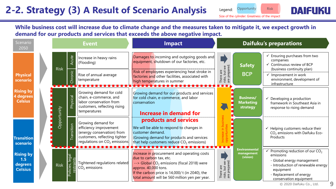## **2-2. Strategy (3) A Result of Scenario Analysis**

Risk Legend: **Opportunity** 

Size of the cylinder: Greatness of the impact



**While business cost will increase due to climate change and the measures taken to mitigate it, we expect growth in demand for our products and services that exceeds the above negative impact.**

| Scenario<br>2050                                     | <b>Event</b> |                                  |                                                                                                                                               | <b>Impact</b>                                                                                                                                                                                                                                                           | <b>Daifuku's preparations</b>                        |                                                  |                                                                                                                                                                                                                                             |
|------------------------------------------------------|--------------|----------------------------------|-----------------------------------------------------------------------------------------------------------------------------------------------|-------------------------------------------------------------------------------------------------------------------------------------------------------------------------------------------------------------------------------------------------------------------------|------------------------------------------------------|--------------------------------------------------|---------------------------------------------------------------------------------------------------------------------------------------------------------------------------------------------------------------------------------------------|
|                                                      | <b>Risk</b>  | Acute                            | Increase in heavy rains<br>(Flooding)                                                                                                         | Damages to incoming and outgoing goods and<br>equipment, shutdown of our factories, etc.                                                                                                                                                                                |                                                      | <b>Safety</b>                                    | Ensuring purchases from two<br>companies<br>$\checkmark$ Continuous review of BCP<br>(business continuity plan)                                                                                                                             |
| <b>Physical</b><br>scenario                          |              | Chronic<br>.                     | Rise of annual average<br>temperature                                                                                                         | Risk of employees experiencing heat stroke in<br>factories and other facilities, associated with<br>high temperatures in summer<br>- <del>- - - - - - - - - - - - -</del> -                                                                                             | mana, but we<br>are prepared.<br>There are<br>risks, | <b>BCP</b>                                       | $\checkmark$ Improvement in work<br>environment, development of<br>infrastructure                                                                                                                                                           |
| <b>Rising by</b><br>4 degrees<br><b>Celsius</b>      |              | Physical                         | Growing demand for cold<br>chain, e-commerce, and<br>labor conservation from<br>customers, reflecting rising<br>temperatures                  | Growing demand for our products and services<br>for cold chain, e-commerce, and labor<br>conservation<br><b>Increase in demand for</b>                                                                                                                                  |                                                      | <b>Business/</b><br><b>Marketing</b><br>strategy | $\checkmark$ Developing a production<br>framework in Southeast Asia in<br>response to rising demand                                                                                                                                         |
| <b>Transition</b><br>scenario                        | Opportunity  | <b>Transition</b>                | Growing demand for<br>efficiency improvement<br>(energy conservation) from<br>customers, reflecting tighter<br>regulations on $CO2$ emissions | products and services<br>We will be able to respond to changes in<br>customer demand.<br>(Growing demand for products and services<br>that help customers reduce $CO2$ emissions)                                                                                       |                                                      |                                                  | $\checkmark$ Helping customers reduce their<br>CO <sub>2</sub> emissions with Daifuku Eco-<br>Products                                                                                                                                      |
| <b>Rising by</b><br>1.5<br>degrees<br><b>Celsius</b> | <b>Risk</b>  | legal<br>restrain<br>Policies, l | - - - - - - - - - - - - - -<br>Tightened regulations related<br>$CO2$ emissions                                                               | Increase in procurement and operating costs<br>due to carbon tax, etc.<br>$\rightarrow$ Global CO <sub>2</sub> emissions (fiscal 2018) were<br>approx. 40,000 tons.<br>If the carbon price is 14,000/t (in 2040), the<br>total amount will be 560 million yen per year. | There are<br>risks, but we<br>are prepared.          | <b>Environmental</b><br>management<br>(vision)   | $\checkmark$ Promoting reduction of our CO <sub>2</sub><br>emissions<br>- Global energy management<br>- Introduction of renewable energy<br>equipment<br>- Replacement of energy<br>conservation equipment<br>9<br>© 2020 Daifuku Co., Ltd. |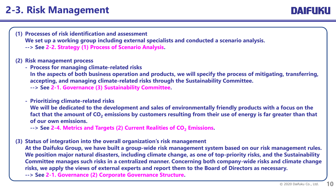## **2-3. Risk Management**

DAIFUKU

**(1) Processes of risk identification and assessment We set up a working group including external specialists and conducted a scenario analysis. --> See 2-2. Strategy (1) Process of Scenario Analysis.**

### **(2) Risk management process**

**- Process for managing climate-related risks In the aspects of both business operation and products, we will specify the process of mitigating, transferring, accepting, and managing climate-related risks through the Sustainability Committee. --> See 2-1. Governance (3) Sustainability Committee.**

#### **- Prioritizing climate-related risks**

**We will be dedicated to the development and sales of environmentally friendly products with a focus on the fact that the amount of CO<sup>2</sup> emissions by customers resulting from their use of energy is far greater than that of our own emissions.** 

**--> See 2-4. Metrics and Targets (2) Current Realities of CO<sup>2</sup> Emissions.**

**(3) Status of integration into the overall organization's risk management**

**At the Daifuku Group, we have built a group-wide risk management system based on our risk management rules. We position major natural disasters, including climate change, as one of top-priority risks, and the Sustainability Committee manages such risks in a centralized manner. Concerning both company-wide risks and climate change risks, we apply the views of external experts and report them to the Board of Directors as necessary. --> See 2-1. Governance (2) Corporate Governance Structure.**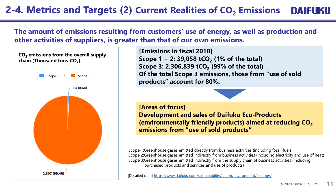## **2-4. Metrics and Targets (2) Current Realities of CO<sup>2</sup> Emissions**

**The amount of emissions resulting from customers' use of energy, as well as production and other activities of suppliers, is greater than that of our own emissions.**



**[Emissions in fiscal 2018] Scope 1 + 2: 39,058 tCO<sup>2</sup> (1% of the total) Scope 3: 2,306,839 tCO<sup>2</sup> (99% of the total) Of the total Scope 3 emissions, those from "use of sold products" account for 80%.**



### **[Areas of focus] Development and sales of Daifuku Eco-Products**

**(environmentally friendly products) aimed at reducing CO<sup>2</sup> emissions from "use of sold products"**

Scope 1:Greenhouse gases emitted directly from business activities (including fossil fuels) Scope 2:Greenhouse gases emitted indirectly from business activities (including electricity and use of heat) Scope 3:Greenhouse gases emitted indirectly from the supply chain of business activities (including purchased products and services and use of products)

[Detailed data] <https://www.daifuku.com/sustainability/action/environment/ecology/>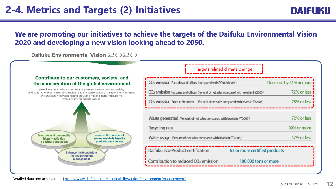DAIFUKU

### **We are promoting our initiatives to achieve the targets of the Daifuku Environmental Vision 2020 and developing a new vision looking ahead to 2050.**

Daifuku Environmental Vision 2020

#### Contribute to our customers, society, and the conservation of the global environment

We will continue to be environmentally aware in every business activity and contribute to our customers, society, and the conservation of the global environment by consistently developing and providing material handling systems with low environmental impact.



### Targets related climate change

| CO <sub>2</sub> emission Factories and offices (compared with FY2005 levels)                          | Decrease by 41% or more |
|-------------------------------------------------------------------------------------------------------|-------------------------|
| CO <sub>2</sub> emission Factories and offices (Per unit of net sales compared with levels in FY2005) | 72% or less             |
| CO <sub>2</sub> emission Product shipment (Per unit of net sales compared with levels in FY2005)      | 78% or less             |
|                                                                                                       |                         |
| Waste generated (Per unit of net sales compared with levels in FY2005)                                | 72% or less             |
| Recycling rate                                                                                        | 99% or more             |
| Water usage (Per unit of net sales compared with levels in FY2005)                                    | 57% or less             |
| Daifuku Eco-Product certification<br>63 or more certified products                                    |                         |
| Contribution to reduced CO <sub>2</sub> emission<br>100,000 tons or more                              |                         |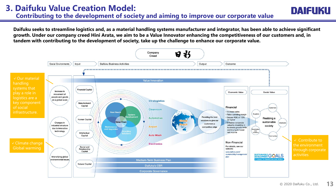**Daifuku seeks to streamline logistics and, as a material handling systems manufacturer and integrator, has been able to achieve significant growth. Under our company creed Hini Arata, we aim to be a Value Innovator enhancing the competitiveness of our customers and, in tandem with contributing to the development of society, take up the challenge to enhance our corporate value.**